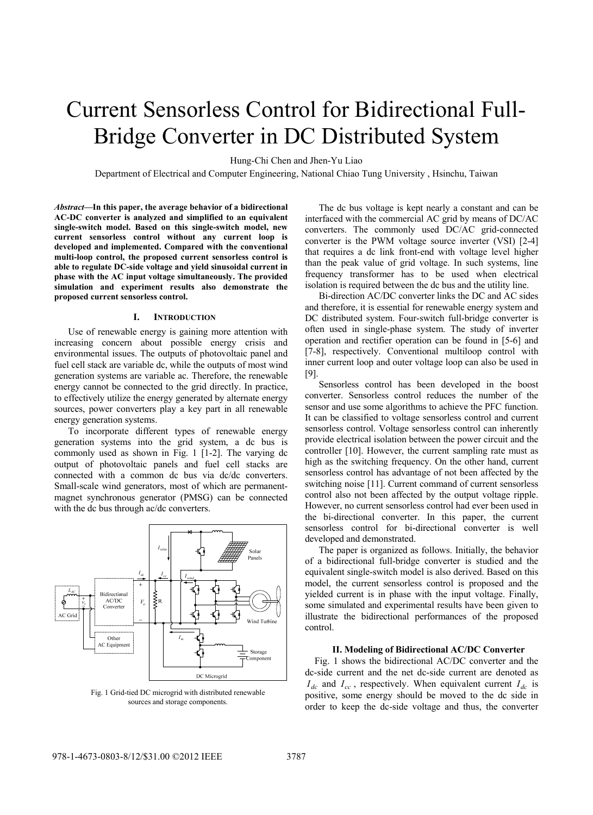# Current Sensorless Control for Bidirectional Full-Bridge Converter in DC Distributed System

Hung-Chi Chen and Jhen-Yu Liao

Department of Electrical and Computer Engineering, National Chiao Tung University , Hsinchu, Taiwan

*Abstract***—In this paper, the average behavior of a bidirectional AC-DC converter is analyzed and simplified to an equivalent single-switch model. Based on this single-switch model, new current sensorless control without any current loop is developed and implemented. Compared with the conventional multi-loop control, the proposed current sensorless control is able to regulate DC-side voltage and yield sinusoidal current in phase with the AC input voltage simultaneously. The provided simulation and experiment results also demonstrate the proposed current sensorless control.** 

# **I. INTRODUCTION**

Use of renewable energy is gaining more attention with increasing concern about possible energy crisis and environmental issues. The outputs of photovoltaic panel and fuel cell stack are variable dc, while the outputs of most wind generation systems are variable ac. Therefore, the renewable energy cannot be connected to the grid directly. In practice, to effectively utilize the energy generated by alternate energy sources, power converters play a key part in all renewable energy generation systems.

To incorporate different types of renewable energy generation systems into the grid system, a dc bus is commonly used as shown in Fig. 1 [1-2]. The varying dc output of photovoltaic panels and fuel cell stacks are connected with a common dc bus via dc/dc converters. Small-scale wind generators, most of which are permanentmagnet synchronous generator (PMSG) can be connected with the dc bus through ac/dc converters.



Fig. 1 Grid-tied DC microgrid with distributed renewable sources and storage components.

The dc bus voltage is kept nearly a constant and can be interfaced with the commercial AC grid by means of DC/AC converters. The commonly used DC/AC grid-connected converter is the PWM voltage source inverter (VSI) [2-4] that requires a dc link front-end with voltage level higher than the peak value of grid voltage. In such systems, line frequency transformer has to be used when electrical isolation is required between the dc bus and the utility line.

Bi-direction AC/DC converter links the DC and AC sides and therefore, it is essential for renewable energy system and DC distributed system. Four-switch full-bridge converter is often used in single-phase system. The study of inverter operation and rectifier operation can be found in [5-6] and [7-8], respectively. Conventional multiloop control with inner current loop and outer voltage loop can also be used in [9].

Sensorless control has been developed in the boost converter. Sensorless control reduces the number of the sensor and use some algorithms to achieve the PFC function. It can be classified to voltage sensorless control and current sensorless control. Voltage sensorless control can inherently provide electrical isolation between the power circuit and the controller [10]. However, the current sampling rate must as high as the switching frequency. On the other hand, current sensorless control has advantage of not been affected by the switching noise [11]. Current command of current sensorless control also not been affected by the output voltage ripple. However, no current sensorless control had ever been used in the bi-directional converter. In this paper, the current sensorless control for bi-directional converter is well developed and demonstrated.

The paper is organized as follows. Initially, the behavior of a bidirectional full-bridge converter is studied and the equivalent single-switch model is also derived. Based on this model, the current sensorless control is proposed and the yielded current is in phase with the input voltage. Finally, some simulated and experimental results have been given to illustrate the bidirectional performances of the proposed control.

# **II. Modeling of Bidirectional AC/DC Converter**

Fig. 1 shows the bidirectional AC/DC converter and the dc-side current and the net dc-side current are denoted as  $I_{dc}$  and  $I_{cc}$ , respectively. When equivalent current  $I_{dc}$  is positive, some energy should be moved to the dc side in order to keep the dc-side voltage and thus, the converter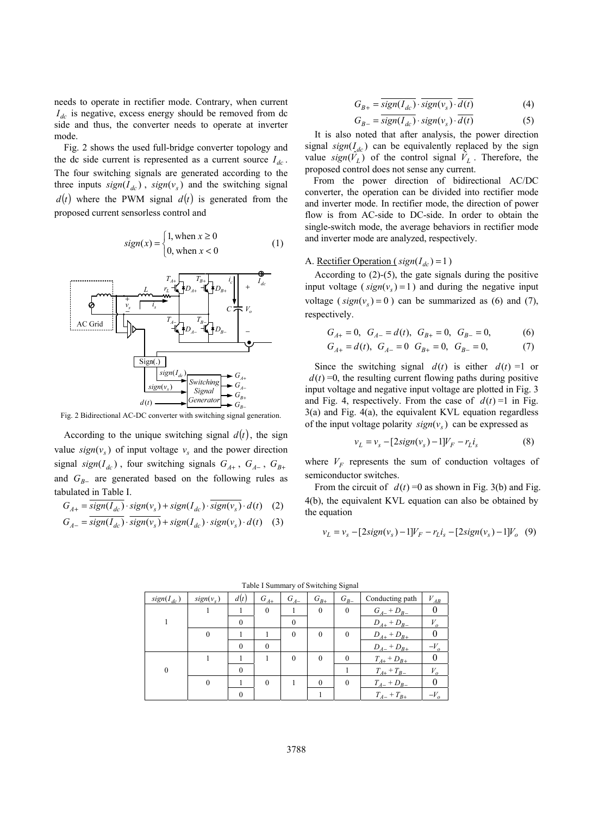needs to operate in rectifier mode. Contrary, when current  $I_{dc}$  is negative, excess energy should be removed from dc side and thus, the converter needs to operate at inverter mode.

Fig. 2 shows the used full-bridge converter topology and the dc side current is represented as a current source  $I_{dc}$ . The four switching signals are generated according to the three inputs  $sign(I_{dc})$ ,  $sign(v_s)$  and the switching signal  $d(t)$  where the PWM signal  $d(t)$  is generated from the proposed current sensorless control and

$$
sign(x) = \begin{cases} 1, \text{ when } x \ge 0 \\ 0, \text{ when } x < 0 \end{cases}
$$
 (1)



Fig. 2 Bidirectional AC-DC converter with switching signal generation.

According to the unique switching signal  $d(t)$ , the sign value  $sign(v_s)$  of input voltage  $v_s$  and the power direction signal  $sign(I_{dc})$ , four switching signals  $G_{A+}$ ,  $G_{A-}$ ,  $G_{B+}$ and  $G_{B-}$  are generated based on the following rules as tabulated in Table I.

$$
G_{A+} = sign(I_{dc}) \cdot sign(v_s) + sign(I_{dc}) \cdot sign(v_s) \cdot d(t) \quad (2)
$$

$$
G_{A-} = sign(I_{dc}) \cdot sign(v_s) + sign(I_{dc}) \cdot sign(v_s) \cdot d(t) \quad (3)
$$

$$
G_{B+} = \overline{sign(I_{dc})} \cdot \overline{sign(v_s)} \cdot \overline{d(t)}
$$
(4)

$$
G_{B-} = sign(I_{dc}) \cdot sign(v_s) \cdot d(t) \tag{5}
$$

It is also noted that after analysis, the power direction signal  $sign(I_{dc})$  can be equivalently replaced by the sign value  $sign(\hat{V}_L^{\text{ac}})$  of the control signal  $\hat{V}_L$ . Therefore, the proposed control does not sense any current.

From the power direction of bidirectional AC/DC converter, the operation can be divided into rectifier mode and inverter mode. In rectifier mode, the direction of power flow is from AC-side to DC-side. In order to obtain the single-switch mode, the average behaviors in rectifier mode and inverter mode are analyzed, respectively.

# A. <u>Rectifier Operation (</u> $sign(I_{dc}) = 1$ )

According to (2)-(5), the gate signals during the positive input voltage ( $sign(v_s) = 1$ ) and during the negative input voltage ( $sign(v<sub>s</sub>) = 0$ ) can be summarized as (6) and (7), respectively.

$$
G_{A+} = 0, G_{A-} = d(t), G_{B+} = 0, G_{B-} = 0,
$$
 (6)

$$
G_{A+} = d(t), G_{A-} = 0 G_{B+} = 0, G_{B-} = 0,
$$
 (7)

Since the switching signal  $d(t)$  is either  $d(t) = 1$  or  $d(t) = 0$ , the resulting current flowing paths during positive input voltage and negative input voltage are plotted in Fig. 3 and Fig. 4, respectively. From the case of  $d(t) = 1$  in Fig. 3(a) and Fig. 4(a), the equivalent KVL equation regardless of the input voltage polarity  $sign(v<sub>s</sub>)$  can be expressed as

$$
v_L = v_s - [2sign(v_s) - 1]V_F - r_L i_s \tag{8}
$$

where  $V_F$  represents the sum of conduction voltages of semiconductor switches.

From the circuit of  $d(t) = 0$  as shown in Fig. 3(b) and Fig. 4(b), the equivalent KVL equation can also be obtained by the equation

$$
v_L = v_s - [2sign(v_s) - 1]V_F - r_L i_s - [2sign(v_s) - 1]V_o \quad (9)
$$

| $sign(I_{dc})$ | $sign(v_s)$ | d(t) | $G_{A+}$     | $G_{A-}$ | $G_{B+}$     | $G_{B-}$     | Conducting path   | $V_{AB}$ |
|----------------|-------------|------|--------------|----------|--------------|--------------|-------------------|----------|
|                |             |      | $\mathbf{0}$ |          | $\mathbf{0}$ | $\mathbf{0}$ | $G_{A-} + D_{B-}$ |          |
|                |             |      |              | $_{0}$   |              |              | $D_{A+} + D_{B-}$ | $V_o$    |
|                |             |      |              | $\theta$ | $\Omega$     | $\mathbf{0}$ | $D_{A+} + D_{B+}$ |          |
|                |             |      | $\theta$     |          |              |              | $D_{A-} + D_{B+}$ |          |
|                |             |      |              | $\Omega$ | $\Omega$     |              | $T_{A+} + D_{B+}$ |          |
| $\theta$       |             |      |              |          |              |              | $T_{A+} + T_{B-}$ | $V_o$    |
|                |             |      | $\theta$     |          | $\Omega$     | $\mathbf{0}$ | $T_{A-} + D_{B-}$ |          |
|                |             |      |              |          |              |              | $T_{A-} + T_{B+}$ |          |

Table I Summary of Switching Signal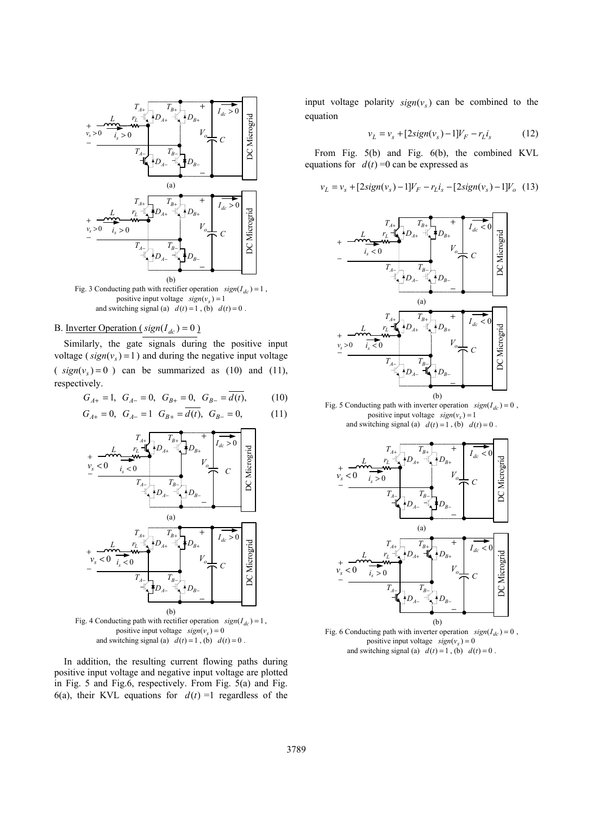

Fig. 3 Conducting path with rectifier operation  $sign(I_{dc}) = 1$ , positive input voltage  $sign(v_s) = 1$ and switching signal (a)  $d(t) = 1$ , (b)  $d(t) = 0$ .

# B. <u>Inverter Operation (</u> $sign(I_{dc}) = 0$ )

Similarly, the gate signals during the positive input voltage ( $sign(v_s) = 1$ ) and during the negative input voltage ( $sign(v<sub>s</sub>) = 0$ ) can be summarized as (10) and (11), respectively.

$$
G_{A+} = 1
$$
,  $G_{A-} = 0$ ,  $G_{B+} = 0$ ,  $G_{B-} = \overline{d(t)}$ , (10)

$$
G_{A+} = 0, \ G_{A-} = 1 \ G_{B+} = \overline{d(t)}, \ G_{B-} = 0,
$$
 (11)



Fig. 4 Conducting path with rectifier operation  $sign(I_{dc}) = 1$ , positive input voltage  $sign(v<sub>s</sub>) = 0$ and switching signal (a)  $d(t) = 1$ , (b)  $d(t) = 0$ .

In addition, the resulting current flowing paths during positive input voltage and negative input voltage are plotted in Fig. 5 and Fig.6, respectively. From Fig. 5(a) and Fig. 6(a), their KVL equations for  $d(t) = 1$  regardless of the input voltage polarity  $sign(v_s)$  can be combined to the equation

$$
v_L = v_s + [2sign(v_s) - 1]V_F - r_L i_s \tag{12}
$$

From Fig. 5(b) and Fig. 6(b), the combined KVL equations for  $d(t) = 0$  can be expressed as

$$
v_L = v_s + [2sign(v_s) - 1]V_F - r_L i_s - [2sign(v_s) - 1]V_o
$$
 (13)



Fig. 5 Conducting path with inverter operation  $sign(I_{dc}) = 0$ , positive input voltage  $sign(v_s) = 1$ and switching signal (a)  $d(t) = 1$ , (b)  $d(t) = 0$ .



Fig. 6 Conducting path with inverter operation  $sign(I_{dc}) = 0$ , positive input voltage  $sign(v_s) = 0$ and switching signal (a)  $d(t) = 1$ , (b)  $d(t) = 0$ .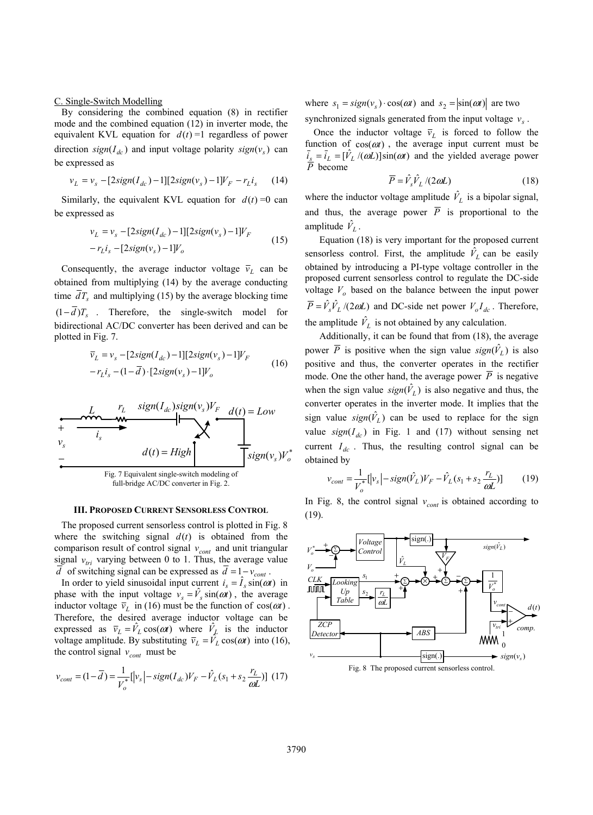# C. Single-Switch Modelling

By considering the combined equation (8) in rectifier mode and the combined equation (12) in inverter mode, the equivalent KVL equation for  $d(t) = 1$  regardless of power direction  $sign(I_{dc})$  and input voltage polarity  $sign(v_s)$  can be expressed as

$$
v_L = v_s - [2sign(I_{dc}) - 1][2sign(v_s) - 1]V_F - r_L i_s \qquad (14)
$$

Similarly, the equivalent KVL equation for  $d(t) = 0$  can be expressed as

$$
v_L = v_s - [2sign(I_{dc}) - 1][2sign(v_s) - 1]V_F
$$
  
-  $r_L i_s - [2sign(v_s) - 1]V_o$  (15)

Consequently, the average inductor voltage  $\bar{v}_L$  can be obtained from multiplying (14) by the average conducting time  $\overline{d}T_s$  and multiplying (15) by the average blocking time  $(1-\overline{d})T_s$  . Therefore, the single-switch model for bidirectional AC/DC converter has been derived and can be plotted in Fig. 7.

$$
\overline{v}_L = v_s - [2sign(I_{dc}) - 1][2sign(v_s) - 1]V_F
$$
  
\n
$$
-r_L i_s - (1 - \overline{d}) \cdot [2sign(v_s) - 1]V_o
$$
\n(16)



#### **III. PROPOSED CURRENT SENSORLESS CONTROL**

The proposed current sensorless control is plotted in Fig. 8 where the switching signal  $d(t)$  is obtained from the comparison result of control signal  $v_{cont}$  and unit triangular signal  $v_{tri}$  varying between 0 to 1. Thus, the average value *d* of switching signal can be expressed as  $d = 1 - v_{cont}$ .

In order to yield sinusoidal input current  $i_s = \hat{I}_s \sin(\omega t)$  in phase with the input voltage  $v_s = \hat{V}_s \sin(\omega t)$ , the average inductor voltage  $\bar{v}_L$  in (16) must be the function of cos( $\omega t$ ). Therefore, the desired average inductor voltage can be expressed as  $\overline{v}_L = \hat{V}_L \cos(\omega t)$  where  $\hat{V}_L$  is the inductor voltage amplitude. By substituting  $\overline{v}_L = \hat{V}_L \cos(\omega t)$  into (16), the control signal  $v_{cont}$  must be

$$
v_{cont} = (1 - \bar{d}) = \frac{1}{V_o^*} [v_s] - sign(I_{dc})V_F - \hat{V}_L(s_1 + s_2 \frac{r_L}{\omega L})] (17)
$$

where  $s_1 = sign(v_s) \cdot cos(\omega t)$  and  $s_2 = |sin(\omega t)|$  are two synchronized signals generated from the input voltage  $v<sub>s</sub>$ .

Once the inductor voltage  $\bar{v}_L$  is forced to follow the function of  $cos(\omega t)$ , the average input current must be  $\bar{i}_s = \bar{i}_L = [\hat{V}_L / (\omega L)] \sin(\omega t)$  and the yielded average power  $\frac{p}{p}$  become

$$
\overline{P} = \hat{V}_s \hat{V}_L / (2\omega L) \tag{18}
$$

where the inductor voltage amplitude  $\hat{V}_L$  is a bipolar signal, and thus, the average power  $\overline{P}$  is proportional to the amplitude  $\hat{V}_L$ .

Equation (18) is very important for the proposed current sensorless control. First, the amplitude  $\hat{V}_L$  can be easily obtained by introducing a PI-type voltage controller in the proposed current sensorless control to regulate the DC-side voltage  $V<sub>o</sub>$  based on the balance between the input power  $\overline{P} = \hat{V}_s \hat{V}_L / (2 \omega L)$  and DC-side net power  $V_o I_{dc}$ . Therefore, the amplitude  $\hat{V}_L$  is not obtained by any calculation.

Additionally, it can be found that from (18), the average power  $\overline{P}$  is positive when the sign value  $sign(\hat{V}_L)$  is also positive and thus, the converter operates in the rectifier mode. One the other hand, the average power  $\overline{P}$  is negative when the sign value  $sign(\hat{V}_L)$  is also negative and thus, the converter operates in the inverter mode. It implies that the sign value  $sign(\hat{V}_I)$  can be used to replace for the sign value  $sign(I_{dc})$  in Fig. 1 and (17) without sensing net current  $I_{dc}$ . Thus, the resulting control signal can be obtained by

$$
v_{cont} = \frac{1}{V_o^*} [|v_s| - sign(\hat{V}_L) V_F - \hat{V}_L (s_1 + s_2 \frac{r_L}{\omega L})]
$$
(19)

In Fig. 8, the control signal  $v_{cont}$  is obtained according to (19).



Fig. 8 The proposed current sensorless control.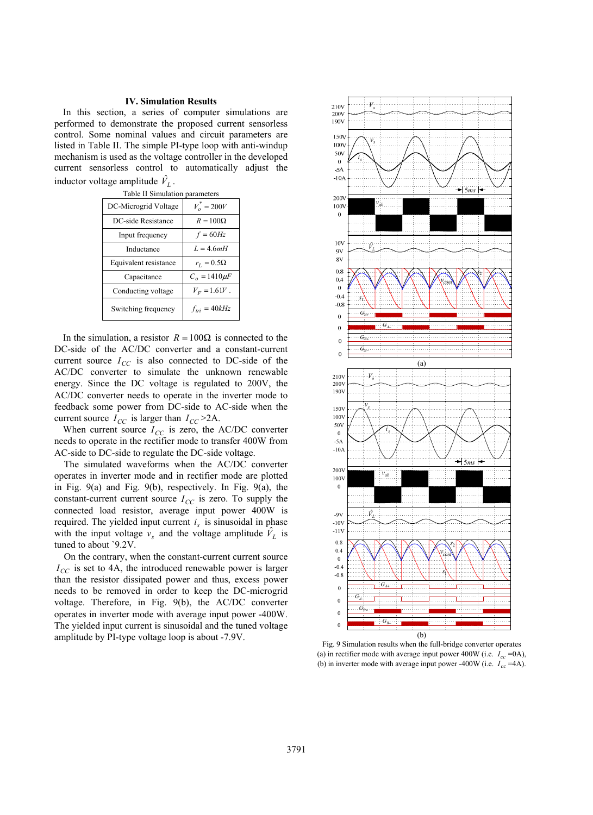### **IV. Simulation Results**

In this section, a series of computer simulations are performed to demonstrate the proposed current sensorless control. Some nominal values and circuit parameters are listed in Table II. The simple PI-type loop with anti-windup mechanism is used as the voltage controller in the developed current sensorless control to automatically adjust the inductor voltage amplitude  $\hat{V}_L$ .

| Table II Simulation parameters |                      |  |  |  |
|--------------------------------|----------------------|--|--|--|
| DC-Microgrid Voltage           | $V_o^* = 200V$       |  |  |  |
| DC-side Resistance             | $R = 100\Omega$      |  |  |  |
| Input frequency                | $f = 60Hz$           |  |  |  |
| Inductance                     | $L = 4.6mH$          |  |  |  |
| Equivalent resistance          | $r_I = 0.5\Omega$    |  |  |  |
| Capacitance                    | $C_{o} = 1410 \mu F$ |  |  |  |
| Conducting voltage             | $V_F = 1.61V$ .      |  |  |  |
| Switching frequency            | $f_{tri} = 40kHz$    |  |  |  |

In the simulation, a resistor  $R = 100\Omega$  is connected to the DC-side of the AC/DC converter and a constant-current current source  $I_{CC}$  is also connected to DC-side of the AC/DC converter to simulate the unknown renewable energy. Since the DC voltage is regulated to 200V, the AC/DC converter needs to operate in the inverter mode to feedback some power from DC-side to AC-side when the current source  $I_{CC}$  is larger than  $I_{CC}$  >2A.

When current source  $I_{CC}$  is zero, the AC/DC converter needs to operate in the rectifier mode to transfer 400W from AC-side to DC-side to regulate the DC-side voltage.

The simulated waveforms when the AC/DC converter operates in inverter mode and in rectifier mode are plotted in Fig. 9(a) and Fig. 9(b), respectively. In Fig. 9(a), the constant-current current source  $I_{CC}$  is zero. To supply the connected load resistor, average input power 400W is required. The yielded input current  $i<sub>s</sub>$  is sinusoidal in phase with the input voltage  $v_s$  and the voltage amplitude  $\hat{V}_L$  is tuned to about `9.2V.

On the contrary, when the constant-current current source  $I_{CC}$  is set to 4A, the introduced renewable power is larger than the resistor dissipated power and thus, excess power needs to be removed in order to keep the DC-microgrid voltage. Therefore, in Fig. 9(b), the AC/DC converter operates in inverter mode with average input power -400W. The yielded input current is sinusoidal and the tuned voltage amplitude by PI-type voltage loop is about -7.9V.



Fig. 9 Simulation results when the full-bridge converter operates (a) in rectifier mode with average input power 400W (i.e.  $I_{cc}$  =0A), (b) in inverter mode with average input power -400W (i.e.  $I_{cc}$  =4A).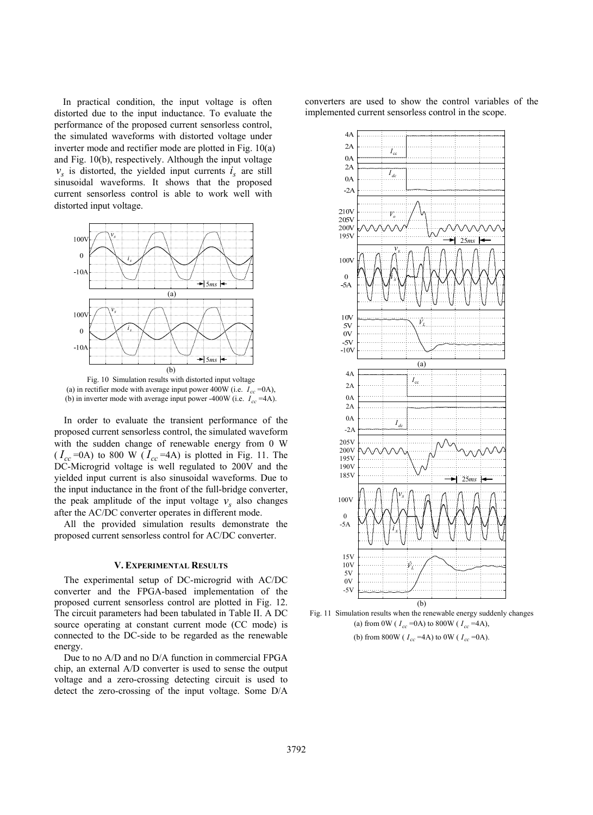In practical condition, the input voltage is often distorted due to the input inductance. To evaluate the performance of the proposed current sensorless control, the simulated waveforms with distorted voltage under inverter mode and rectifier mode are plotted in Fig. 10(a) and Fig. 10(b), respectively. Although the input voltage  $v_s$  is distorted, the yielded input currents  $i_s$  are still sinusoidal waveforms. It shows that the proposed current sensorless control is able to work well with distorted input voltage.



Fig. 10 Simulation results with distorted input voltage (a) in rectifier mode with average input power 400W (i.e.  $I_{cc}$  =0A), (b) in inverter mode with average input power -400W (i.e.  $I_{cc}$  =4A).

In order to evaluate the transient performance of the proposed current sensorless control, the simulated waveform with the sudden change of renewable energy from 0 W  $(I_{cc} = 0$ A) to 800 W  $(I_{cc} = 4$ A) is plotted in Fig. 11. The DC-Microgrid voltage is well regulated to 200V and the yielded input current is also sinusoidal waveforms. Due to the input inductance in the front of the full-bridge converter, the peak amplitude of the input voltage  $v<sub>s</sub>$  also changes after the AC/DC converter operates in different mode.

All the provided simulation results demonstrate the proposed current sensorless control for AC/DC converter.

# **V. EXPERIMENTAL RESULTS**

The experimental setup of DC-microgrid with AC/DC converter and the FPGA-based implementation of the proposed current sensorless control are plotted in Fig. 12. The circuit parameters had been tabulated in Table II. A DC source operating at constant current mode (CC mode) is connected to the DC-side to be regarded as the renewable energy.

Due to no A/D and no D/A function in commercial FPGA chip, an external A/D converter is used to sense the output voltage and a zero-crossing detecting circuit is used to detect the zero-crossing of the input voltage. Some D/A converters are used to show the control variables of the implemented current sensorless control in the scope.



Fig. 11 Simulation results when the renewable energy suddenly changes (a) from 0W ( $I_{cc}$  =0A) to 800W ( $I_{cc}$  =4A), (b) from 800W ( $I_{cc}$  =4A) to 0W ( $I_{cc}$  =0A).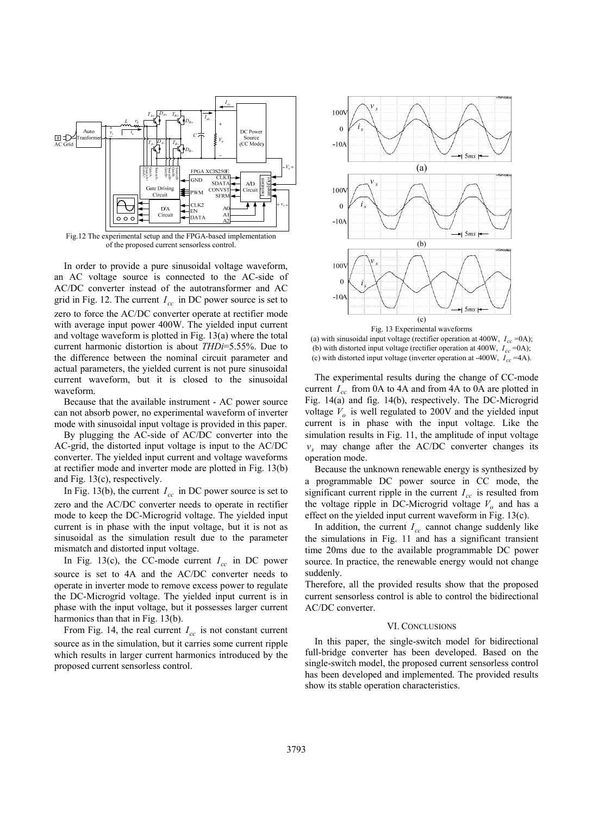

In order to provide a pure sinusoidal voltage waveform, an AC voltage source is connected to the AC-side of AC/DC converter instead of the autotransformer and AC grid in Fig. 12. The current  $I_{cc}$  in DC power source is set to zero to force the AC/DC converter operate at rectifier mode with average input power 400W. The yielded input current and voltage waveform is plotted in Fig. 13(a) where the total current harmonic distortion is about *THDi*=5.55%. Due to the difference between the nominal circuit parameter and actual parameters, the yielded current is not pure sinusoidal current waveform, but it is closed to the sinusoidal waveform.

Because that the available instrument - AC power source can not absorb power, no experimental waveform of inverter mode with sinusoidal input voltage is provided in this paper.

By plugging the AC-side of AC/DC converter into the AC-grid, the distorted input voltage is input to the AC/DC converter. The yielded input current and voltage waveforms at rectifier mode and inverter mode are plotted in Fig. 13(b) and Fig. 13(c), respectively.

In Fig. 13(b), the current  $I_{cc}$  in DC power source is set to zero and the AC/DC converter needs to operate in rectifier mode to keep the DC-Microgrid voltage. The yielded input current is in phase with the input voltage, but it is not as sinusoidal as the simulation result due to the parameter mismatch and distorted input voltage.

In Fig. 13(c), the CC-mode current  $I_{cc}$  in DC power source is set to 4A and the AC/DC converter needs to operate in inverter mode to remove excess power to regulate the DC-Microgrid voltage. The yielded input current is in phase with the input voltage, but it possesses larger current harmonics than that in Fig. 13(b).

From Fig. 14, the real current  $I_{cc}$  is not constant current source as in the simulation, but it carries some current ripple which results in larger current harmonics introduced by the proposed current sensorless control.



(a) with sinusoidal input voltage (rectifier operation at 400W,  $I_{cc}$  =0A); (b) with distorted input voltage (rectifier operation at 400W,  $I_{cc}$  =0A); (c) with distorted input voltage (inverter operation at -400W,  $I_{cc}$ =4A).

The experimental results during the change of CC-mode current  $I_{cc}$  from 0A to 4A and from 4A to 0A are plotted in Fig. 14(a) and fig. 14(b), respectively. The DC-Microgrid voltage  $V<sub>o</sub>$  is well regulated to 200V and the yielded input current is in phase with the input voltage. Like the simulation results in Fig. 11, the amplitude of input voltage  $v_s$  may change after the AC/DC converter changes its operation mode.

Because the unknown renewable energy is synthesized by a programmable DC power source in CC mode, the significant current ripple in the current  $I_{cc}$  is resulted from the voltage ripple in DC-Microgrid voltage  $V<sub>o</sub>$  and has a effect on the yielded input current waveform in Fig. 13(c).

In addition, the current  $I_{cc}$  cannot change suddenly like the simulations in Fig. 11 and has a significant transient time 20ms due to the available programmable DC power source. In practice, the renewable energy would not change suddenly.

Therefore, all the provided results show that the proposed current sensorless control is able to control the bidirectional AC/DC converter.

# VI. CONCLUSIONS

In this paper, the single-switch model for bidirectional full-bridge converter has been developed. Based on the single-switch model, the proposed current sensorless control has been developed and implemented. The provided results show its stable operation characteristics.